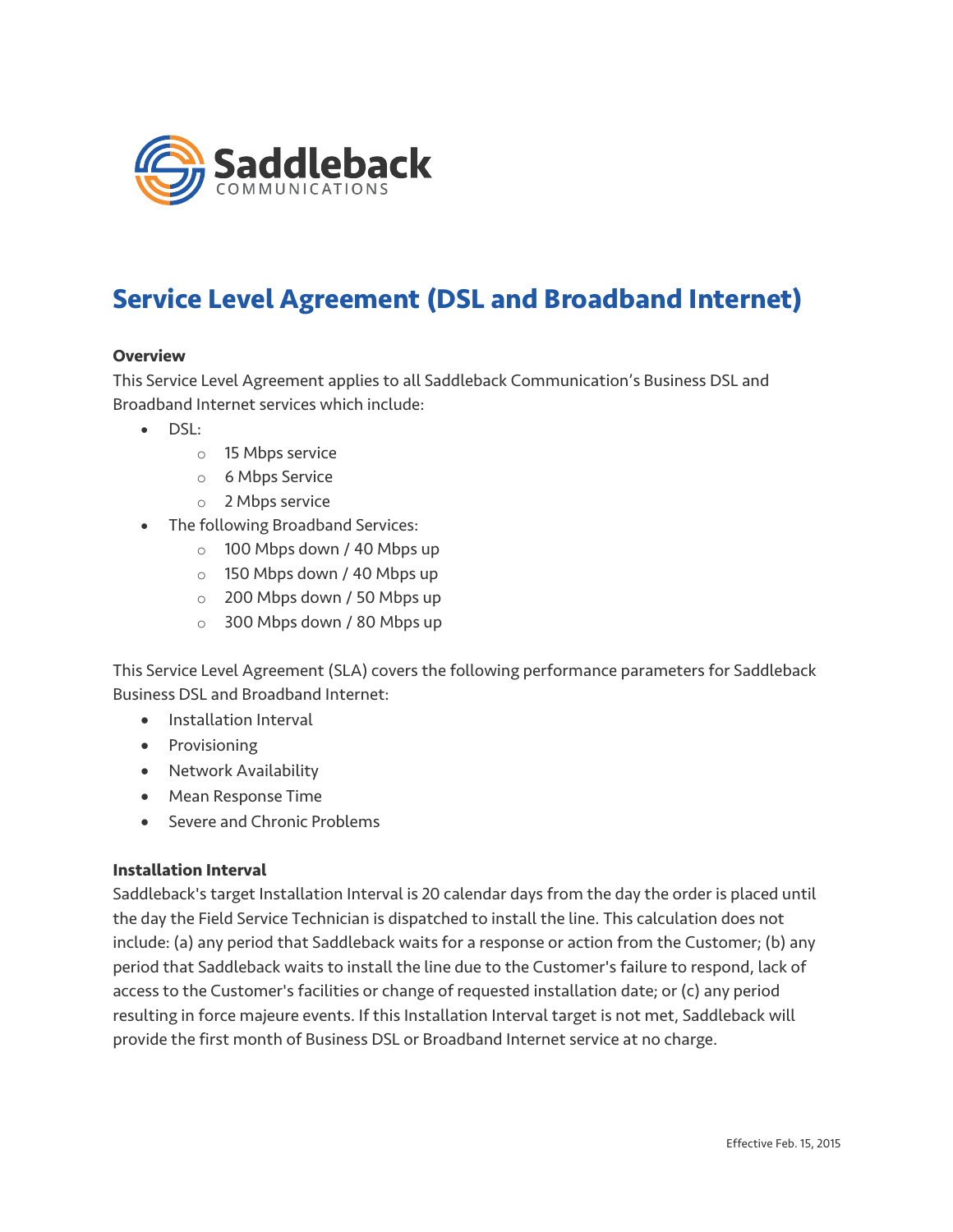

# **Service Level Agreement (DSL and Broadband Internet)**

### **Overview**

This Service Level Agreement applies to all Saddleback Communication's Business DSL and Broadband Internet services which include:

- DSL:
	- o 15 Mbps service
	- o 6 Mbps Service
	- o 2 Mbps service
- The following Broadband Services:
	- o 100 Mbps down / 40 Mbps up
	- o 150 Mbps down / 40 Mbps up
	- o 200 Mbps down / 50 Mbps up
	- o 300 Mbps down / 80 Mbps up

This Service Level Agreement (SLA) covers the following performance parameters for Saddleback Business DSL and Broadband Internet:

- Installation Interval
- Provisioning
- Network Availability
- Mean Response Time
- Severe and Chronic Problems

#### **Installation Interval**

Saddleback's target Installation Interval is 20 calendar days from the day the order is placed until the day the Field Service Technician is dispatched to install the line. This calculation does not include: (a) any period that Saddleback waits for a response or action from the Customer; (b) any period that Saddleback waits to install the line due to the Customer's failure to respond, lack of access to the Customer's facilities or change of requested installation date; or (c) any period resulting in force majeure events. If this Installation Interval target is not met, Saddleback will provide the first month of Business DSL or Broadband Internet service at no charge.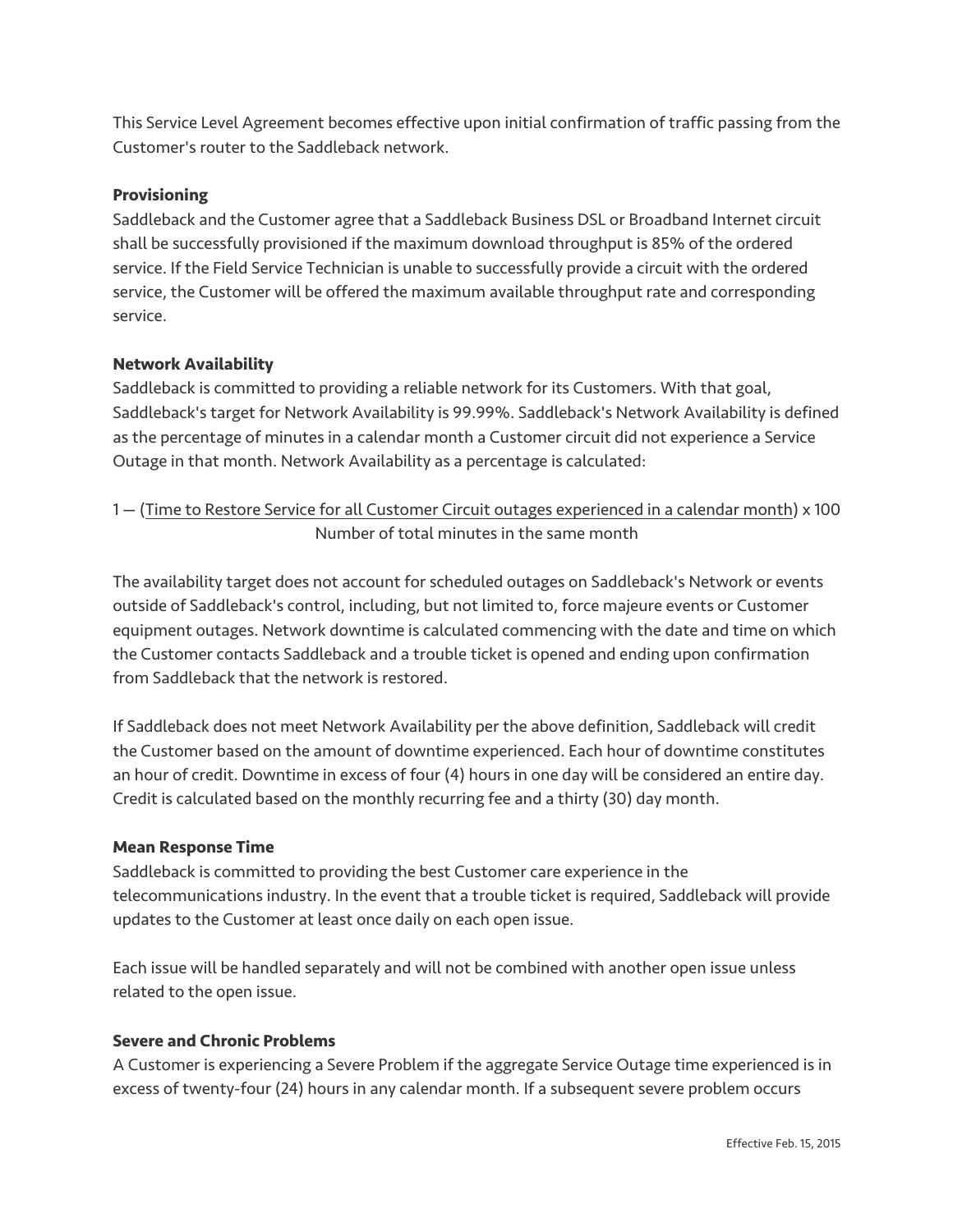This Service Level Agreement becomes effective upon initial confirmation of traffic passing from the Customer's router to the Saddleback network.

## **Provisioning**

Saddleback and the Customer agree that a Saddleback Business DSL or Broadband Internet circuit shall be successfully provisioned if the maximum download throughput is 85% of the ordered service. If the Field Service Technician is unable to successfully provide a circuit with the ordered service, the Customer will be offered the maximum available throughput rate and corresponding service.

## **Network Availability**

Saddleback is committed to providing a reliable network for its Customers. With that goal, Saddleback's target for Network Availability is 99.99%. Saddleback's Network Availability is defined as the percentage of minutes in a calendar month a Customer circuit did not experience a Service Outage in that month. Network Availability as a percentage is calculated:

1 — (Time to Restore Service for all Customer Circuit outages experienced in a calendar month) x 100 Number of total minutes in the same month

The availability target does not account for scheduled outages on Saddleback's Network or events outside of Saddleback's control, including, but not limited to, force majeure events or Customer equipment outages. Network downtime is calculated commencing with the date and time on which the Customer contacts Saddleback and a trouble ticket is opened and ending upon confirmation from Saddleback that the network is restored.

If Saddleback does not meet Network Availability per the above definition, Saddleback will credit the Customer based on the amount of downtime experienced. Each hour of downtime constitutes an hour of credit. Downtime in excess of four (4) hours in one day will be considered an entire day. Credit is calculated based on the monthly recurring fee and a thirty (30) day month.

#### **Mean Response Time**

Saddleback is committed to providing the best Customer care experience in the telecommunications industry. In the event that a trouble ticket is required, Saddleback will provide updates to the Customer at least once daily on each open issue.

Each issue will be handled separately and will not be combined with another open issue unless related to the open issue.

#### **Severe and Chronic Problems**

A Customer is experiencing a Severe Problem if the aggregate Service Outage time experienced is in excess of twenty-four (24) hours in any calendar month. If a subsequent severe problem occurs